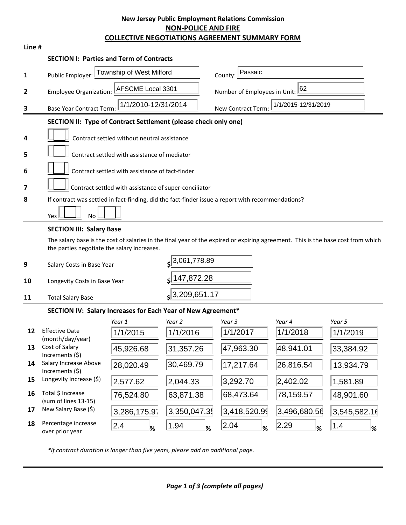## **New Jersey Public Employment Relations Commission NON-POLICE AND FIRE COLLECTIVE NEGOTIATIONS AGREEMENT SUMMARY FORM**

| Line #       | <b>COLLECTIVE NEGOTIATIONS AGREEMENT SUMMARY FORM</b>                                                                                                                           |                    |                                    |
|--------------|---------------------------------------------------------------------------------------------------------------------------------------------------------------------------------|--------------------|------------------------------------|
|              | <b>SECTION I: Parties and Term of Contracts</b>                                                                                                                                 |                    |                                    |
| $\mathbf{1}$ | Township of West Milford<br>Public Employer:                                                                                                                                    | County:            | Passaic                            |
| 2            | AFSCME Local 3301<br><b>Employee Organization:</b>                                                                                                                              |                    | 62<br>Number of Employees in Unit: |
| 3            | 1/1/2010-12/31/2014<br><b>Base Year Contract Term:</b>                                                                                                                          | New Contract Term: | 1/1/2015-12/31/2019                |
|              | SECTION II: Type of Contract Settlement (please check only one)                                                                                                                 |                    |                                    |
| 4            | Contract settled without neutral assistance                                                                                                                                     |                    |                                    |
| 5            | Contract settled with assistance of mediator                                                                                                                                    |                    |                                    |
| 6            | Contract settled with assistance of fact-finder                                                                                                                                 |                    |                                    |
| 7            | Contract settled with assistance of super-conciliator                                                                                                                           |                    |                                    |
| 8            | If contract was settled in fact-finding, did the fact-finder issue a report with recommendations?                                                                               |                    |                                    |
|              | Yes<br>No                                                                                                                                                                       |                    |                                    |
|              | <b>SECTION III: Salary Base</b>                                                                                                                                                 |                    |                                    |
|              | The salary base is the cost of salaries in the final year of the expired or expiring agreement. This is the base cost from which<br>the parties negotiate the salary increases. |                    |                                    |
| 9            | Salary Costs in Base Year                                                                                                                                                       | $s$ 3,061,778.89   |                                    |
| 10           | Longevity Costs in Base Year                                                                                                                                                    | 147,872.28         |                                    |
| 11           | <b>Total Salary Base</b>                                                                                                                                                        | 3,209,651.17       |                                    |

# **SECTION IV: Salary Increases for Each Year of New Agreement\***

|    |                                           | Year 1       | Year 2      | Year 3       | Year 4       | Year 5       |
|----|-------------------------------------------|--------------|-------------|--------------|--------------|--------------|
| 12 | <b>Effective Date</b><br>(month/day/year) | 1/1/2015     | 1/1/2016    | 1/1/2017     | 1/1/2018     | 1/1/2019     |
| 13 | Cost of Salary<br>Increments $(5)$        | 45,926.68    | 31,357.26   | 47,963.30    | 48,941.01    | 33,384.92    |
| 14 | Salary Increase Above<br>Increments $(5)$ | 28,020.49    | 30,469.79   | 17,217.64    | 26,816.54    | 13,934.79    |
| 15 | Longevity Increase (\$)                   | 2,577.62     | 2,044.33    | 3,292.70     | 2,402.02     | 1,581.89     |
| 16 | Total \$ Increase<br>(sum of lines 13-15) | 76,524.80    | 63,871.38   | 68,473.64    | 78,159.57    | 48,901.60    |
| 17 | New Salary Base (\$)                      | 3,286,175.97 | 3,350,047.3 | 3,418,520.99 | 3,496,680.56 | 3,545,582.16 |
| 18 | Percentage increase<br>over prior year    | 2.4<br>%     | 1.94<br>%   | 2.04<br>%    | 2.29<br>%    | 1.4<br>%     |

*\*If contract duration is longer than five years, please add an additional page.*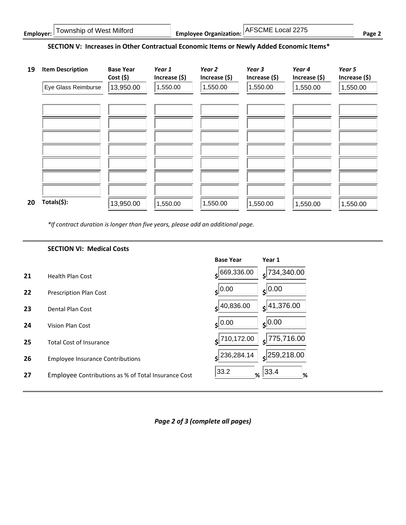| Township of West Milford<br>Employer: $\Box$ | AFSCME Local 2275<br><b>Employee Organization:</b> | $Page \sim$ |
|----------------------------------------------|----------------------------------------------------|-------------|
|----------------------------------------------|----------------------------------------------------|-------------|

#### **SECTION V: Increases in Other Contractual Economic Items or Newly Added Economic Items\***



*\*If contract duration is longer than five years, please add an additional page.*

|    | <b>SECTION VI: Medical Costs</b>                    |                                      |                             |
|----|-----------------------------------------------------|--------------------------------------|-----------------------------|
|    |                                                     | <b>Base Year</b>                     | Year 1                      |
| 21 | <b>Health Plan Cost</b>                             | 669,336.00<br>$\left  \cdot \right $ | 734,340.00<br>sl.           |
| 22 | <b>Prescription Plan Cost</b>                       | 0.00<br>s١                           | $s$ <sup>0.00</sup>         |
| 23 | Dental Plan Cost                                    | 40,836.00<br>ś                       | $s$ <sup>[41,376.00</sup> ] |
| 24 | Vision Plan Cost                                    | 0.00<br>ś۱                           | $\zeta$ 0.00                |
| 25 | <b>Total Cost of Insurance</b>                      | $\epsilon$  710,172.00               | 775,716.00<br>¢             |
| 26 | <b>Employee Insurance Contributions</b>             | 236,284.14                           | $\left 259,218.00\right $   |
| 27 | Employee Contributions as % of Total Insurance Cost | 33.2<br>%                            | 33.4 <br>%                  |

*Page 2 of 3 (complete all pages)*